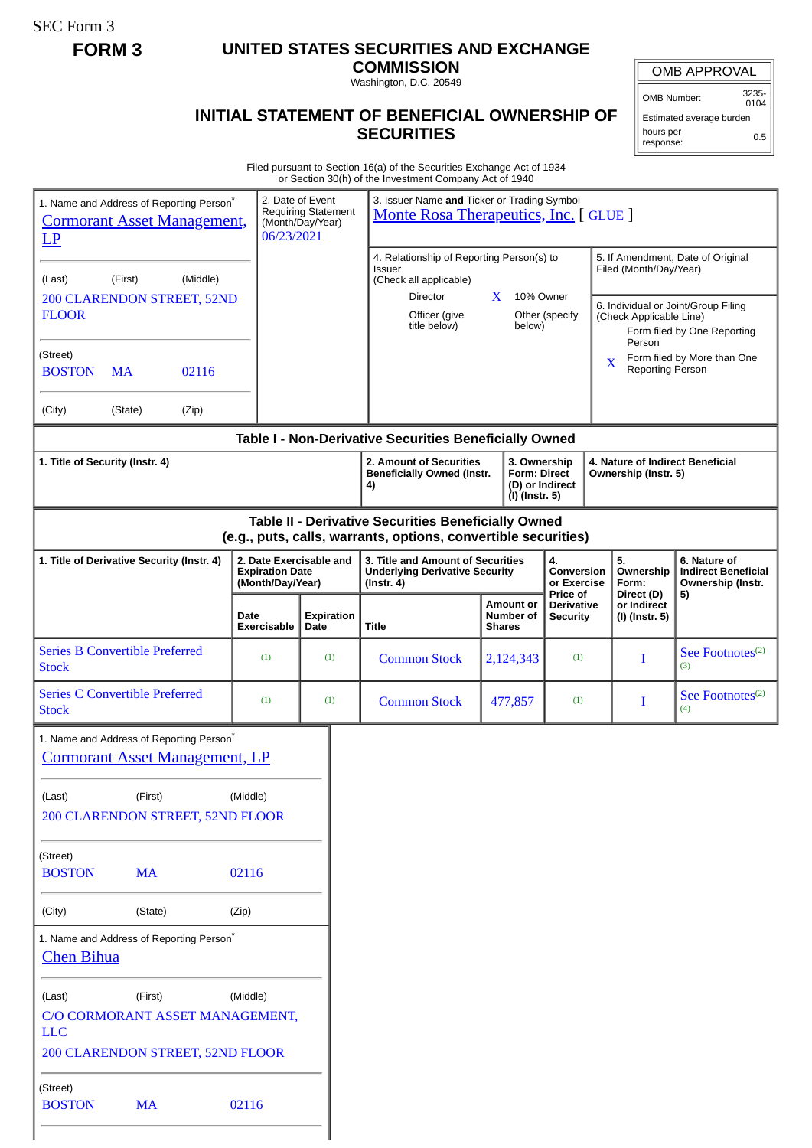SEC Form 3

## **FORM 3 UNITED STATES SECURITIES AND EXCHANGE**

**COMMISSION**

Washington, D.C. 20549

## **INITIAL STATEMENT OF BENEFICIAL OWNERSHIP OF SECURITIES**

OMB APPROVAL

OMB Number: 3235- 0104

Estimated average burden hours per response: 0.5

Filed pursuant to Section 16(a) of the Securities Exchange Act of 1934 or Section 30(h) of the Investment Company Act of 1940

|                                                                                                  |           |                                                                       |                     |                                                                                                | or occaon oonn or are mycoarient company , tot or .                                                                   |                                                       |                                        |                                                                                               |                                     |
|--------------------------------------------------------------------------------------------------|-----------|-----------------------------------------------------------------------|---------------------|------------------------------------------------------------------------------------------------|-----------------------------------------------------------------------------------------------------------------------|-------------------------------------------------------|----------------------------------------|-----------------------------------------------------------------------------------------------|-------------------------------------|
| 1. Name and Address of Reporting Person <sup>*</sup><br><b>Cormorant Asset Management,</b><br>LP |           |                                                                       | 06/23/2021          | 2. Date of Event<br><b>Requiring Statement</b><br>(Month/Day/Year)                             | 3. Issuer Name and Ticker or Trading Symbol<br>Monte Rosa Therapeutics, Inc. [GLUE]                                   |                                                       |                                        |                                                                                               |                                     |
|                                                                                                  |           |                                                                       |                     |                                                                                                | 4. Relationship of Reporting Person(s) to                                                                             |                                                       |                                        | 5. If Amendment, Date of Original                                                             |                                     |
| (First)<br>(Middle)<br>(Last)                                                                    |           |                                                                       |                     |                                                                                                | Issuer<br>(Check all applicable)                                                                                      |                                                       |                                        | Filed (Month/Day/Year)                                                                        |                                     |
| <b>200 CLARENDON STREET, 52ND</b><br><b>FLOOR</b>                                                |           |                                                                       |                     |                                                                                                | Director<br>Officer (give<br>title below)                                                                             | 10% Owner<br>X<br>below)                              | Other (specify                         | 6. Individual or Joint/Group Filing<br>(Check Applicable Line)<br>Form filed by One Reporting |                                     |
| (Street)<br><b>BOSTON</b>                                                                        | <b>MA</b> | 02116                                                                 |                     |                                                                                                |                                                                                                                       |                                                       |                                        | Person<br>X<br>Reporting Person                                                               | Form filed by More than One         |
| (City)                                                                                           | (State)   | (Zip)                                                                 |                     |                                                                                                |                                                                                                                       |                                                       |                                        |                                                                                               |                                     |
|                                                                                                  |           |                                                                       |                     |                                                                                                | Table I - Non-Derivative Securities Beneficially Owned                                                                |                                                       |                                        |                                                                                               |                                     |
| 1. Title of Security (Instr. 4)                                                                  |           |                                                                       |                     |                                                                                                | 2. Amount of Securities<br><b>Beneficially Owned (Instr.</b><br>4)                                                    | 3. Ownership<br><b>Form: Direct</b><br>(I) (Instr. 5) | (D) or Indirect                        | 4. Nature of Indirect Beneficial<br>Ownership (Instr. 5)                                      |                                     |
|                                                                                                  |           |                                                                       |                     |                                                                                                | Table II - Derivative Securities Beneficially Owned<br>(e.g., puts, calls, warrants, options, convertible securities) |                                                       |                                        |                                                                                               |                                     |
| 1. Title of Derivative Security (Instr. 4)                                                       |           | 2. Date Exercisable and<br><b>Expiration Date</b><br>(Month/Day/Year) |                     | 3. Title and Amount of Securities<br><b>Underlying Derivative Security</b><br>$($ Instr. 4 $)$ |                                                                                                                       | 4.<br>Conversion<br>or Exercise<br>Price of           | 5.<br>Ownership<br>Form:<br>Direct (D) | 6. Nature of<br><b>Indirect Beneficial</b><br>Ownership (Instr.                               |                                     |
|                                                                                                  |           |                                                                       | Date<br>Exercisable | <b>Expiration</b><br>Date                                                                      | Title                                                                                                                 | <b>Amount or</b><br>Number of<br><b>Shares</b>        | <b>Derivative</b><br><b>Security</b>   | or Indirect<br>(I) (Instr. 5)                                                                 | 5)                                  |
| <b>Series B Convertible Preferred</b><br><b>Stock</b>                                            |           |                                                                       | (1)                 | (1)                                                                                            | <b>Common Stock</b>                                                                                                   | 2,124,343                                             | (1)                                    | I                                                                                             | See Footnotes <sup>(2)</sup><br>(3) |
| <b>Series C Convertible Preferred</b><br><b>Stock</b>                                            |           | (1)                                                                   | (1)                 | <b>Common Stock</b>                                                                            | 477,857                                                                                                               | (1)                                                   | I                                      | See Footnotes <sup>(2)</sup><br>(4)                                                           |                                     |
|                                                                                                  |           | 1. Name and Address of Reporting Person*                              |                     |                                                                                                |                                                                                                                       |                                                       |                                        |                                                                                               |                                     |
|                                                                                                  |           | <b>Cormorant Asset Management, LP</b>                                 |                     |                                                                                                |                                                                                                                       |                                                       |                                        |                                                                                               |                                     |
| (Last)                                                                                           | (First)   | 200 CLARENDON STREET, 52ND FLOOR                                      | (Middle)            |                                                                                                |                                                                                                                       |                                                       |                                        |                                                                                               |                                     |
| (Street)                                                                                         |           |                                                                       |                     |                                                                                                |                                                                                                                       |                                                       |                                        |                                                                                               |                                     |
| <b>BOSTON</b>                                                                                    | <b>MA</b> |                                                                       | 02116               |                                                                                                |                                                                                                                       |                                                       |                                        |                                                                                               |                                     |
| (City)                                                                                           | (State)   |                                                                       | (Zip)               |                                                                                                |                                                                                                                       |                                                       |                                        |                                                                                               |                                     |
| <b>Chen Bihua</b>                                                                                |           | 1. Name and Address of Reporting Person <sup>*</sup>                  |                     |                                                                                                |                                                                                                                       |                                                       |                                        |                                                                                               |                                     |
| (Middle)<br>(First)<br>(Last)<br>C/O CORMORANT ASSET MANAGEMENT,<br><b>LLC</b>                   |           |                                                                       |                     |                                                                                                |                                                                                                                       |                                                       |                                        |                                                                                               |                                     |
|                                                                                                  |           | 200 CLARENDON STREET, 52ND FLOOR                                      |                     |                                                                                                |                                                                                                                       |                                                       |                                        |                                                                                               |                                     |
| (Street)<br><b>BOSTON</b>                                                                        | <b>MA</b> |                                                                       | 02116               |                                                                                                |                                                                                                                       |                                                       |                                        |                                                                                               |                                     |
|                                                                                                  |           |                                                                       |                     |                                                                                                |                                                                                                                       |                                                       |                                        |                                                                                               |                                     |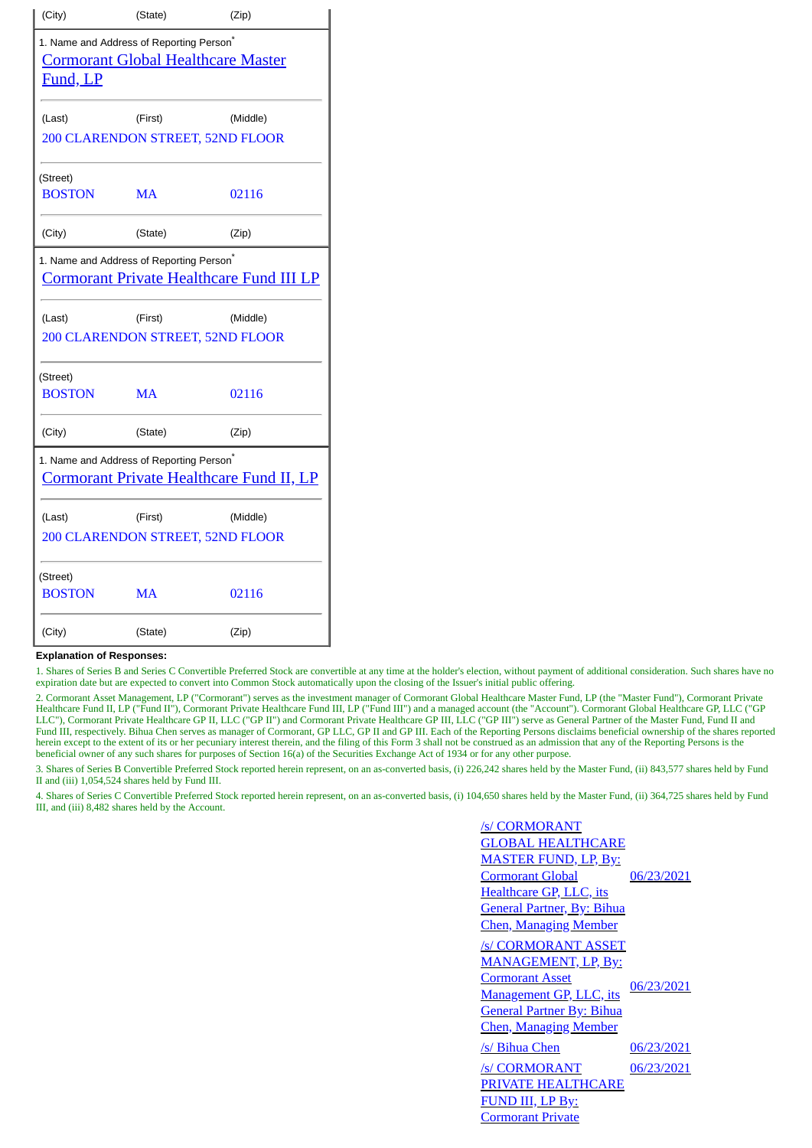| (City)                                                                                                  | (State)                                              | (Zip)                                        |  |  |  |  |  |
|---------------------------------------------------------------------------------------------------------|------------------------------------------------------|----------------------------------------------|--|--|--|--|--|
| Fund, LP                                                                                                | 1. Name and Address of Reporting Person <sup>*</sup> | <b>Cormorant Global Healthcare Master</b>    |  |  |  |  |  |
| (Last)                                                                                                  | (First)                                              | (Middle)<br>200 CLARENDON STREET, 52ND FLOOR |  |  |  |  |  |
| (Street)<br><b>BOSTON</b>                                                                               | <b>MA</b>                                            | 02116                                        |  |  |  |  |  |
| (City)                                                                                                  | (State)                                              | (Zip)                                        |  |  |  |  |  |
| 1. Name and Address of Reporting Person <sup>*</sup><br><b>Cormorant Private Healthcare Fund III LP</b> |                                                      |                                              |  |  |  |  |  |
| (Last)                                                                                                  | (First)                                              | (Middle)<br>200 CLARENDON STREET, 52ND FLOOR |  |  |  |  |  |
| (Street)<br><b>BOSTON</b>                                                                               | <b>MA</b>                                            | 02116                                        |  |  |  |  |  |
| (City)                                                                                                  | (State)                                              | (Zip)                                        |  |  |  |  |  |
| 1. Name and Address of Reporting Person <sup>*</sup><br><b>Cormorant Private Healthcare Fund II, LP</b> |                                                      |                                              |  |  |  |  |  |
| (Last)                                                                                                  | (First)                                              | (Middle)<br>200 CLARENDON STREET, 52ND FLOOR |  |  |  |  |  |
| (Street)<br><b>BOSTON</b>                                                                               | MA                                                   | 02116                                        |  |  |  |  |  |
| (City)                                                                                                  | (State)                                              | (Zip)                                        |  |  |  |  |  |

## **Explanation of Responses:**

1. Shares of Series B and Series C Convertible Preferred Stock are convertible at any time at the holder's election, without payment of additional consideration. Such shares have no expiration date but are expected to convert into Common Stock automatically upon the closing of the Issuer's initial public offering.

2. Cormorant Asset Management, LP ("Cormorant") serves as the investment manager of Cormorant Global Healthcare Master Fund, LP (the "Master Fund"), Cormorant Private Healthcare Fund II, LP ("Fund II"), Cormorant Private Healthcare Fund III, LP ("Fund III") and a managed account (the "Account"). Cormorant Global Healthcare GP, LLC ("GP LLC"), Cormorant Private Healthcare GP II, LLC ("GP II") and Cormorant Private Healthcare GP III, LLC ("GP III") serve as General Partner of the Master Fund, Fund II and Fund III, respectively. Bihua Chen serves as manager of Cormorant, GP LLC, GP II and GP III. Each of the Reporting Persons disclaims beneficial ownership of the shares reported Fund III, respectively. Bihua Chen serves as herein except to the extent of its or her pecuniary interest therein, and the filing of this Form 3 shall not be construed as an admission that any of the Reporting Persons is the herein, here is no her pecuniary interest beneficial owner of any such shares for purposes of Section 16(a) of the Securities Exchange Act of 1934 or for any other purpose.

3. Shares of Series B Convertible Preferred Stock reported herein represent, on an as-converted basis, (i) 226,242 shares held by the Master Fund, (ii) 843,577 shares held by Fund II and (iii) 1,054,524 shares held by Fund III.

4. Shares of Series C Convertible Preferred Stock reported herein represent, on an as-converted basis, (i) 104,650 shares held by the Master Fund, (ii) 364,725 shares held by Fund III, and (iii) 8,482 shares held by the Account.

| /s/ CORMORANT                      |            |  |  |
|------------------------------------|------------|--|--|
| <b>GLOBAL HEALTHCARE</b>           |            |  |  |
| <b>MASTER FUND, LP, By:</b>        |            |  |  |
| <u>Cormorant Global</u>            | 06/23/2021 |  |  |
| <u>Healthcare GP, LLC, its</u>     |            |  |  |
| <u> General Partner, By: Bihua</u> |            |  |  |
| <u> Chen, Managing Member</u>      |            |  |  |
| /s/ CORMORANT ASSET                |            |  |  |
| <u>MANAGEMENT, LP, By:</u>         |            |  |  |
| <b>Cormorant Asset</b>             |            |  |  |
| <u>Management GP, LLC, its</u>     | 06/23/2021 |  |  |
| <b>General Partner By: Bihua</b>   |            |  |  |
| <u> Chen, Managing Member</u>      |            |  |  |
| /s/ Bihua Chen                     | 06/23/2021 |  |  |
| /s/ CORMORANT                      | 06/23/2021 |  |  |
| <b>PRIVATE HEALTHCARE</b>          |            |  |  |
| FUND III, LP By:                   |            |  |  |
| <b>Cormorant Private</b>           |            |  |  |